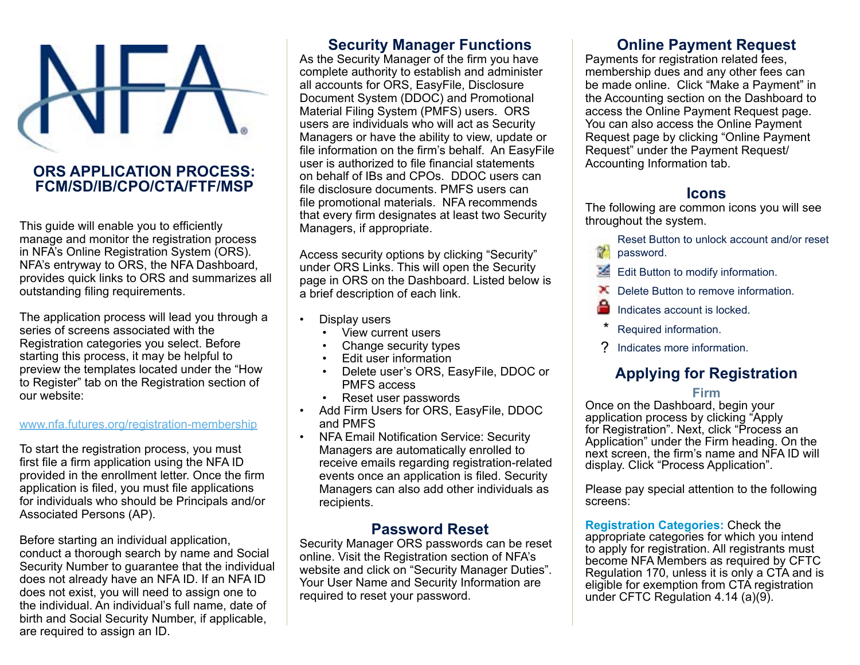

## **ORS APPLICATION PROCESS: FCM/SD/IB/CPO/CTA/FTF/MSP**

This guide will enable you to efficiently manage and monitor the registration process in NFA's Online Registration System (ORS). NFA's entryway to ORS, the NFA Dashboard, provides quick links to ORS and summarizes all outstanding filing requirements.

The application process will lead you through a series of screens associated with the Registration categories you select. Before starting this process, it may be helpful to preview the templates located under the "How to Register" tab on the Registration section of our website:

#### www.nfa.futures.org/registration-membership

To start the registration process, you must first file a firm application using the NFA ID provided in the enrollment letter. Once the firm application is filed, you must file applications for individuals who should be Principals and/or Associated Persons (AP).

Before starting an individual application, conduct a thorough search by name and Social Security Number to guarantee that the individual does not already have an NFA ID. If an NFA ID does not exist, you will need to assign one to the individual. An individual's full name, date of birth and Social Security Number, if applicable, are required to assign an ID.

## **Security Manager Functions**

As the Security Manager of the firm you have complete authority to establish and administer all accounts for ORS, EasyFile, Disclosure Document System (DDOC) and Promotional Material Filing System (PMFS) users. ORS users are individuals who will act as Security Managers or have the ability to view, update or file information on the firm's behalf. An EasyFile user is authorized to file financial statements on behalf of IBs and CPOs. DDOC users can file disclosure documents. PMFS users can file promotional materials. NFA recommends that every firm designates at least two Security Managers, if appropriate.

Access security options by clicking "Security" under ORS Links. This will open the Security page in ORS on the Dashboard. Listed below is a brief description of each link.

- Display users
	- View current users
	- Change security types
	- Edit user information
	- Delete user's ORS, EasyFile, DDOC or PMFS access
	- Reset user passwords
- Add Firm Users for ORS, EasyFile, DDOC and PMFS
- NFA Email Notification Service: Security Managers are automatically enrolled to receive emails regarding registration-related events once an application is filed. Security Managers can also add other individuals as recipients.

## **Password Reset**

Security Manager ORS passwords can be reset online. Visit the Registration section of NFA's website and click on "Security Manager Duties". Your User Name and Security Information are required to reset your password.

## **Online Payment Request**

Payments for registration related fees, membership dues and any other fees can be made online. Click "Make a Payment" in the Accounting section on the Dashboard to access the Online Payment Request page. You can also access the Online Payment Request page by clicking "Online Payment Request" under the Payment Request/ Accounting Information tab.

## **Icons**

The following are common icons you will see throughout the system.

- Reset Button to unlock account and/or reset Ŷ. password.
- Edit Button to modify information.
- **X** Delete Button to remove information.
- Indicates account is locked.
- Required information.
- ? Indicates more information.

# **Applying for Registration**

#### **Firm**

Once on the Dashboard, begin your application process by clicking "Apply for Registration". Next, click "Process an Application" under the Firm heading. On the next screen, the firm's name and NFA ID will display. Click "Process Application".

Please pay special attention to the following screens:

**Registration Categories:** Check the appropriate categories for which you intend to apply for registration. All registrants must become NFA Members as required by CFTC Regulation 170, unless it is only a CTA and is eligible for exemption from CTA registration under CFTC Regulation 4.14 (a)(9).